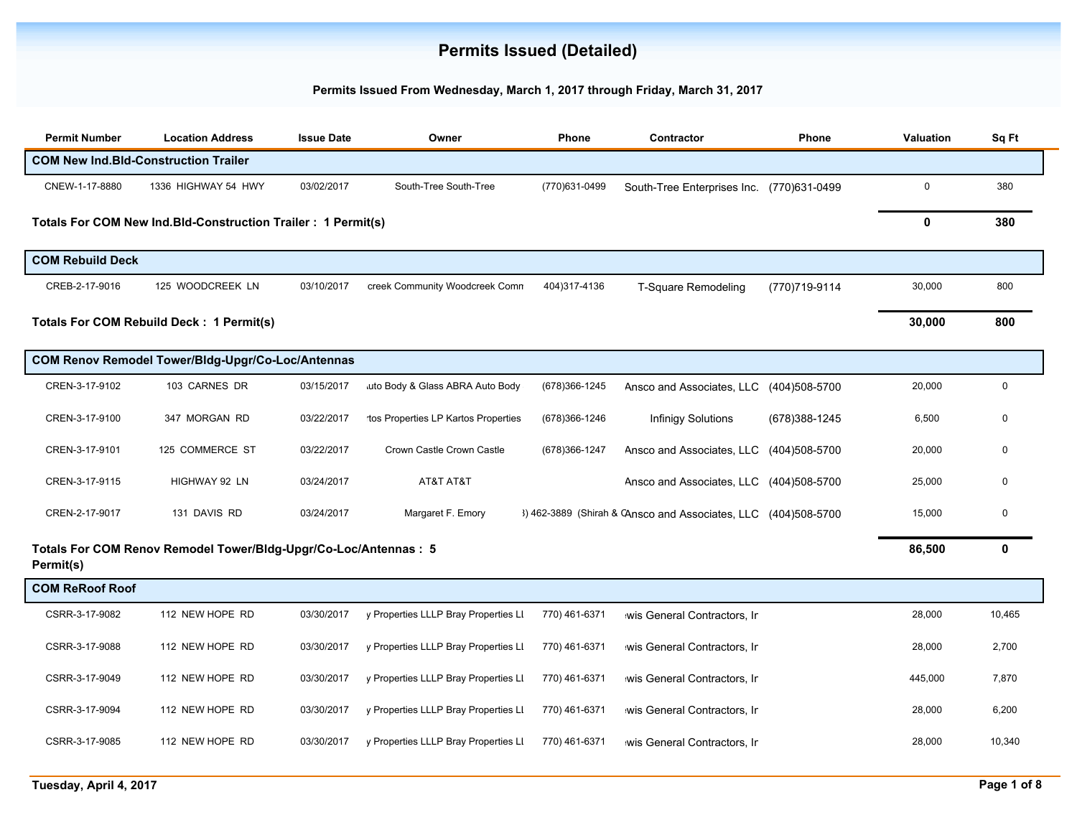## **Permits Issued (Detailed)**

## **Permits Issued From Wednesday, March 1, 2017 through Friday, March 31, 2017**

| <b>Permit Number</b>                        | <b>Location Address</b>                                          | <b>Issue Date</b> | Owner                                | Phone         | Contractor                                       | Phone          | Valuation   | Sq Ft       |
|---------------------------------------------|------------------------------------------------------------------|-------------------|--------------------------------------|---------------|--------------------------------------------------|----------------|-------------|-------------|
| <b>COM New Ind.Bld-Construction Trailer</b> |                                                                  |                   |                                      |               |                                                  |                |             |             |
| CNEW-1-17-8880                              | 1336 HIGHWAY 54 HWY                                              | 03/02/2017        | South-Tree South-Tree                | (770)631-0499 | South-Tree Enterprises Inc. (770)631-0499        |                | $\mathbf 0$ | 380         |
|                                             | Totals For COM New Ind. Bld-Construction Trailer : 1 Permit(s)   |                   |                                      |               |                                                  |                | 0           | 380         |
| <b>COM Rebuild Deck</b>                     |                                                                  |                   |                                      |               |                                                  |                |             |             |
| CREB-2-17-9016                              | 125 WOODCREEK LN                                                 | 03/10/2017        | creek Community Woodcreek Comn       | 404)317-4136  | <b>T-Square Remodeling</b>                       | (770)719-9114  | 30,000      | 800         |
|                                             | Totals For COM Rebuild Deck: 1 Permit(s)                         |                   |                                      |               |                                                  |                | 30,000      | 800         |
|                                             | COM Renov Remodel Tower/Bldg-Upgr/Co-Loc/Antennas                |                   |                                      |               |                                                  |                |             |             |
| CREN-3-17-9102                              | 103 CARNES DR                                                    | 03/15/2017        | uto Body & Glass ABRA Auto Body      | (678)366-1245 | Ansco and Associates, LLC                        | (404)508-5700  | 20,000      | $\mathbf 0$ |
| CREN-3-17-9100                              | 347 MORGAN RD                                                    | 03/22/2017        | tos Properties LP Kartos Properties  | (678)366-1246 | <b>Infinigy Solutions</b>                        | (678) 388-1245 | 6,500       | $\mathbf 0$ |
| CREN-3-17-9101                              | 125 COMMERCE ST                                                  | 03/22/2017        | Crown Castle Crown Castle            | (678)366-1247 | Ansco and Associates, LLC                        | (404)508-5700  | 20,000      | $\Omega$    |
| CREN-3-17-9115                              | HIGHWAY 92 LN                                                    | 03/24/2017        | AT&T AT&T                            |               | Ansco and Associates, LLC                        | (404)508-5700  | 25,000      | $\mathbf 0$ |
| CREN-2-17-9017                              | 131 DAVIS RD                                                     | 03/24/2017        | Margaret F. Emory                    |               | 3) 462-3889 (Shirah & CAnsco and Associates, LLC | (404)508-5700  | 15,000      | $\Omega$    |
| Permit(s)                                   | Totals For COM Renov Remodel Tower/Bldg-Upgr/Co-Loc/Antennas : 5 |                   |                                      |               |                                                  |                | 86,500      | $\mathbf 0$ |
| <b>COM ReRoof Roof</b>                      |                                                                  |                   |                                      |               |                                                  |                |             |             |
| CSRR-3-17-9082                              | 112 NEW HOPE RD                                                  | 03/30/2017        | y Properties LLLP Bray Properties LI | 770) 461-6371 | wis General Contractors, Ir                      |                | 28,000      | 10,465      |
| CSRR-3-17-9088                              | 112 NEW HOPE RD                                                  | 03/30/2017        | y Properties LLLP Bray Properties LI | 770) 461-6371 | wis General Contractors, Ir                      |                | 28,000      | 2,700       |
| CSRR-3-17-9049                              | 112 NEW HOPE RD                                                  | 03/30/2017        | y Properties LLLP Bray Properties LI | 770) 461-6371 | wis General Contractors, Ir                      |                | 445,000     | 7,870       |
| CSRR-3-17-9094                              | 112 NEW HOPE RD                                                  | 03/30/2017        | y Properties LLLP Bray Properties LI | 770) 461-6371 | wis General Contractors, Ir                      |                | 28,000      | 6,200       |
| CSRR-3-17-9085                              | 112 NEW HOPE RD                                                  | 03/30/2017        | y Properties LLLP Bray Properties LI | 770) 461-6371 | wis General Contractors, Ir                      |                | 28,000      | 10,340      |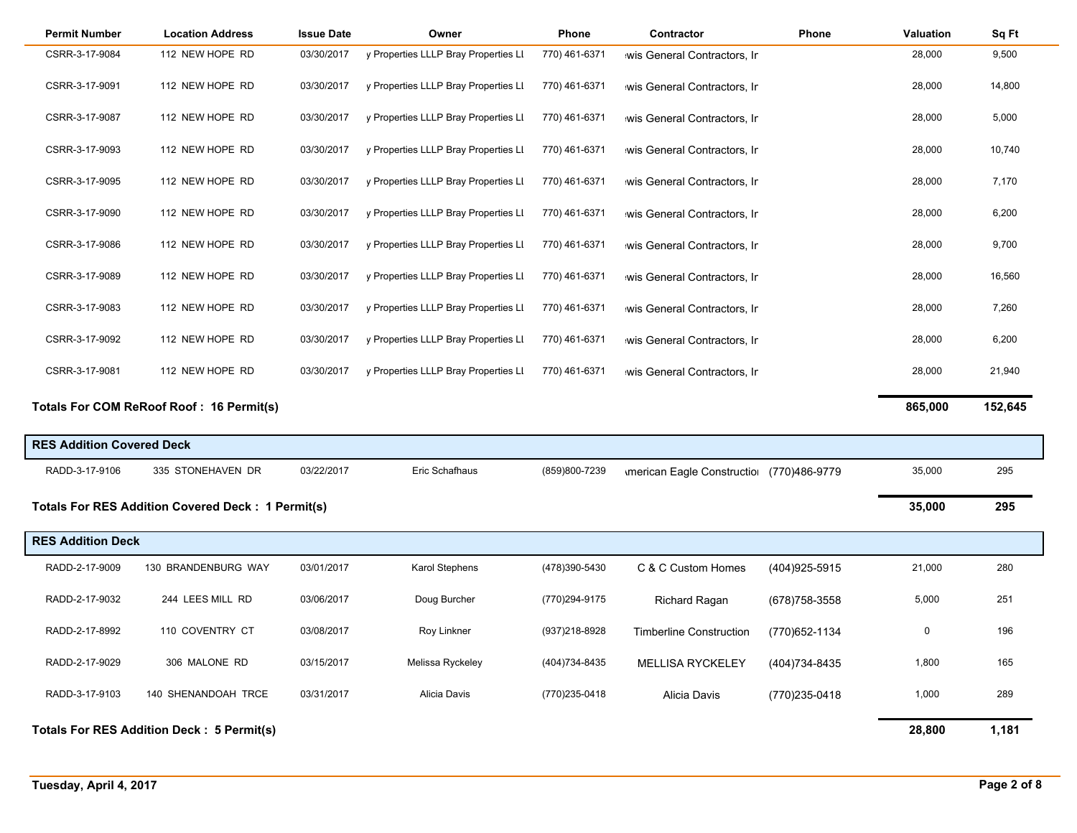| <b>Permit Number</b>             | <b>Location Address</b>                                  | <b>Issue Date</b> | Owner                                | Phone         | Contractor                               | <b>Phone</b>   | <b>Valuation</b> | Sq Ft   |
|----------------------------------|----------------------------------------------------------|-------------------|--------------------------------------|---------------|------------------------------------------|----------------|------------------|---------|
| CSRR-3-17-9084                   | 112 NEW HOPE RD                                          | 03/30/2017        | y Properties LLLP Bray Properties LI | 770) 461-6371 | wis General Contractors, Ir              |                | 28,000           | 9,500   |
| CSRR-3-17-9091                   | 112 NEW HOPE RD                                          | 03/30/2017        | y Properties LLLP Bray Properties LI | 770) 461-6371 | wis General Contractors, Ir              |                | 28,000           | 14,800  |
| CSRR-3-17-9087                   | 112 NEW HOPE RD                                          | 03/30/2017        | y Properties LLLP Bray Properties LI | 770) 461-6371 | wis General Contractors, Ir              |                | 28,000           | 5,000   |
| CSRR-3-17-9093                   | 112 NEW HOPE RD                                          | 03/30/2017        | y Properties LLLP Bray Properties LI | 770) 461-6371 | wis General Contractors, Ir              |                | 28,000           | 10,740  |
| CSRR-3-17-9095                   | 112 NEW HOPE RD                                          | 03/30/2017        | y Properties LLLP Bray Properties LI | 770) 461-6371 | wis General Contractors, Ir              |                | 28,000           | 7,170   |
| CSRR-3-17-9090                   | 112 NEW HOPE RD                                          | 03/30/2017        | y Properties LLLP Bray Properties LI | 770) 461-6371 | wis General Contractors, Ir              |                | 28,000           | 6,200   |
| CSRR-3-17-9086                   | 112 NEW HOPE RD                                          | 03/30/2017        | y Properties LLLP Bray Properties LI | 770) 461-6371 | wis General Contractors, Ir              |                | 28,000           | 9,700   |
| CSRR-3-17-9089                   | 112 NEW HOPE RD                                          | 03/30/2017        | y Properties LLLP Bray Properties LI | 770) 461-6371 | wis General Contractors, Ir              |                | 28,000           | 16,560  |
| CSRR-3-17-9083                   | 112 NEW HOPE RD                                          | 03/30/2017        | y Properties LLLP Bray Properties LI | 770) 461-6371 | wis General Contractors, Ir              |                | 28,000           | 7,260   |
| CSRR-3-17-9092                   | 112 NEW HOPE RD                                          | 03/30/2017        | y Properties LLLP Bray Properties LI | 770) 461-6371 | wis General Contractors, Ir              |                | 28,000           | 6,200   |
| CSRR-3-17-9081                   | 112 NEW HOPE RD                                          | 03/30/2017        | y Properties LLLP Bray Properties LI | 770) 461-6371 | wis General Contractors, Ir              |                | 28,000           | 21,940  |
|                                  | Totals For COM ReRoof Roof: 16 Permit(s)                 |                   |                                      |               |                                          |                | 865,000          | 152,645 |
| <b>RES Addition Covered Deck</b> |                                                          |                   |                                      |               |                                          |                |                  |         |
| RADD-3-17-9106                   | 335 STONEHAVEN DR                                        | 03/22/2017        | Eric Schafhaus                       | (859)800-7239 | Imerican Eagle Constructio (770)486-9779 |                | 35,000           | 295     |
|                                  | <b>Totals For RES Addition Covered Deck: 1 Permit(s)</b> |                   |                                      |               |                                          |                | 35,000           | 295     |
| <b>RES Addition Deck</b>         |                                                          |                   |                                      |               |                                          |                |                  |         |
| RADD-2-17-9009                   | 130 BRANDENBURG WAY                                      | 03/01/2017        | <b>Karol Stephens</b>                | (478)390-5430 | C & C Custom Homes                       | (404) 925-5915 | 21,000           | 280     |
| RADD-2-17-9032                   | 244 LEES MILL RD                                         | 03/06/2017        | Doug Burcher                         | (770)294-9175 | <b>Richard Ragan</b>                     | (678) 758-3558 | 5,000            | 251     |
| RADD-2-17-8992                   | 110 COVENTRY CT                                          | 03/08/2017        | Roy Linkner                          | (937)218-8928 | <b>Timberline Construction</b>           | (770) 652-1134 | 0                | 196     |
| RADD-2-17-9029                   | 306 MALONE RD                                            | 03/15/2017        | Melissa Ryckeley                     | (404)734-8435 | <b>MELLISA RYCKELEY</b>                  | (404) 734-8435 | 1,800            | 165     |
| RADD-3-17-9103                   | 140 SHENANDOAH TRCE                                      | 03/31/2017        | Alicia Davis                         | (770)235-0418 | Alicia Davis                             | (770)235-0418  | 1,000            | 289     |
|                                  | <b>Totals For RES Addition Deck: 5 Permit(s)</b>         |                   |                                      |               |                                          |                | 28,800           | 1,181   |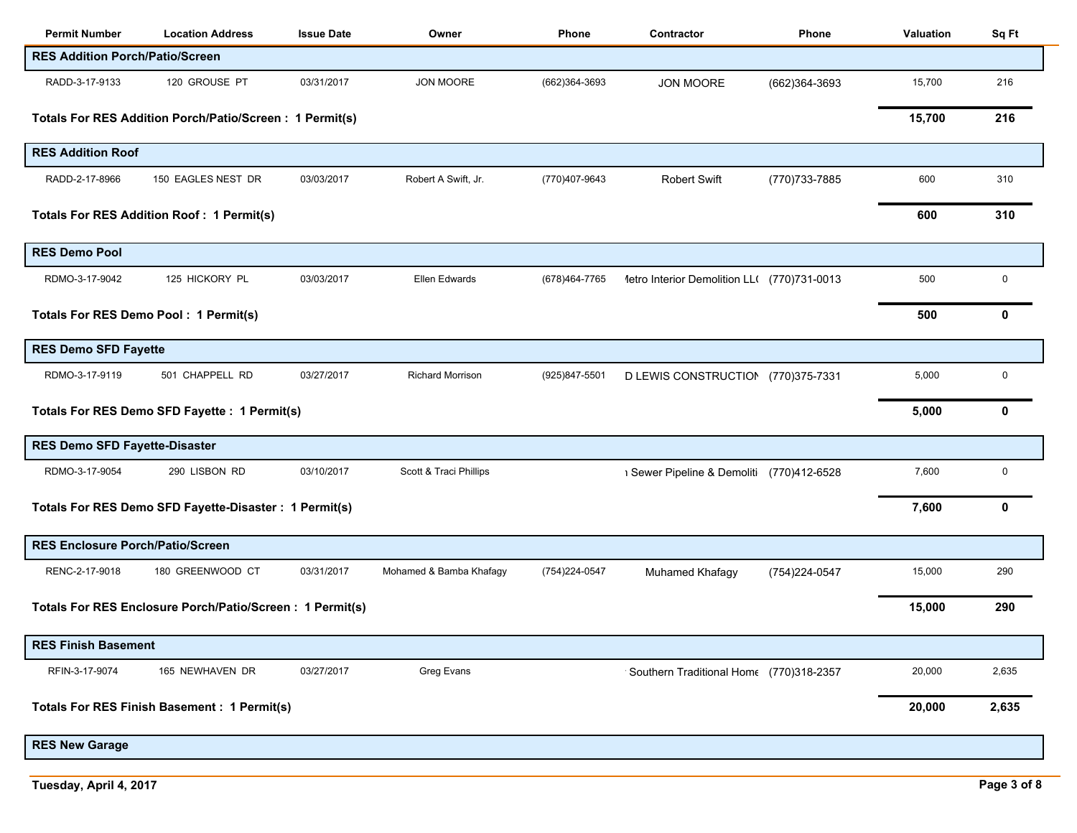| <b>Permit Number</b>                             | <b>Location Address</b>                                  | <b>Issue Date</b> | Owner                   | Phone          | Contractor                                  | Phone          | Valuation | Sq Ft       |
|--------------------------------------------------|----------------------------------------------------------|-------------------|-------------------------|----------------|---------------------------------------------|----------------|-----------|-------------|
| <b>RES Addition Porch/Patio/Screen</b>           |                                                          |                   |                         |                |                                             |                |           |             |
| RADD-3-17-9133                                   | 120 GROUSE PT                                            | 03/31/2017        | <b>JON MOORE</b>        | (662)364-3693  | <b>JON MOORE</b>                            | (662)364-3693  | 15,700    | 216         |
|                                                  | Totals For RES Addition Porch/Patio/Screen: 1 Permit(s)  |                   |                         |                |                                             |                | 15,700    | 216         |
| <b>RES Addition Roof</b>                         |                                                          |                   |                         |                |                                             |                |           |             |
| RADD-2-17-8966                                   | 150 EAGLES NEST DR                                       | 03/03/2017        | Robert A Swift, Jr.     | (770)407-9643  | <b>Robert Swift</b>                         | (770) 733-7885 | 600       | 310         |
| <b>Totals For RES Addition Roof: 1 Permit(s)</b> |                                                          |                   |                         |                |                                             |                | 600       | 310         |
| <b>RES Demo Pool</b>                             |                                                          |                   |                         |                |                                             |                |           |             |
| RDMO-3-17-9042                                   | 125 HICKORY PL                                           | 03/03/2017        | Ellen Edwards           | (678) 464-7765 | 1etro Interior Demolition LL( (770)731-0013 |                | 500       | $\mathbf 0$ |
| Totals For RES Demo Pool: 1 Permit(s)            |                                                          |                   |                         |                |                                             |                | 500       | 0           |
| <b>RES Demo SFD Fayette</b>                      |                                                          |                   |                         |                |                                             |                |           |             |
| RDMO-3-17-9119                                   | 501 CHAPPELL RD                                          | 03/27/2017        | <b>Richard Morrison</b> | (925)847-5501  | D LEWIS CONSTRUCTION (770)375-7331          |                | 5,000     | $\mathbf 0$ |
|                                                  | Totals For RES Demo SFD Fayette : 1 Permit(s)            |                   |                         |                |                                             |                | 5,000     | 0           |
| <b>RES Demo SFD Fayette-Disaster</b>             |                                                          |                   |                         |                |                                             |                |           |             |
| RDMO-3-17-9054                                   | 290 LISBON RD                                            | 03/10/2017        | Scott & Traci Phillips  |                | 1 Sewer Pipeline & Demoliti (770)412-6528   |                | 7,600     | 0           |
|                                                  | Totals For RES Demo SFD Fayette-Disaster : 1 Permit(s)   |                   |                         |                |                                             |                | 7,600     | 0           |
| <b>RES Enclosure Porch/Patio/Screen</b>          |                                                          |                   |                         |                |                                             |                |           |             |
| RENC-2-17-9018                                   | 180 GREENWOOD CT                                         | 03/31/2017        | Mohamed & Bamba Khafagy | (754) 224-0547 | Muhamed Khafagy                             | (754)224-0547  | 15,000    | 290         |
|                                                  | Totals For RES Enclosure Porch/Patio/Screen: 1 Permit(s) |                   |                         |                |                                             |                | 15,000    | 290         |
| <b>RES Finish Basement</b>                       |                                                          |                   |                         |                |                                             |                |           |             |
| RFIN-3-17-9074                                   | 165 NEWHAVEN DR                                          | 03/27/2017        | Greg Evans              |                | Southern Traditional Home (770)318-2357     |                | 20,000    | 2,635       |
|                                                  | <b>Totals For RES Finish Basement: 1 Permit(s)</b>       |                   |                         |                |                                             |                | 20,000    | 2,635       |
| <b>RES New Garage</b>                            |                                                          |                   |                         |                |                                             |                |           |             |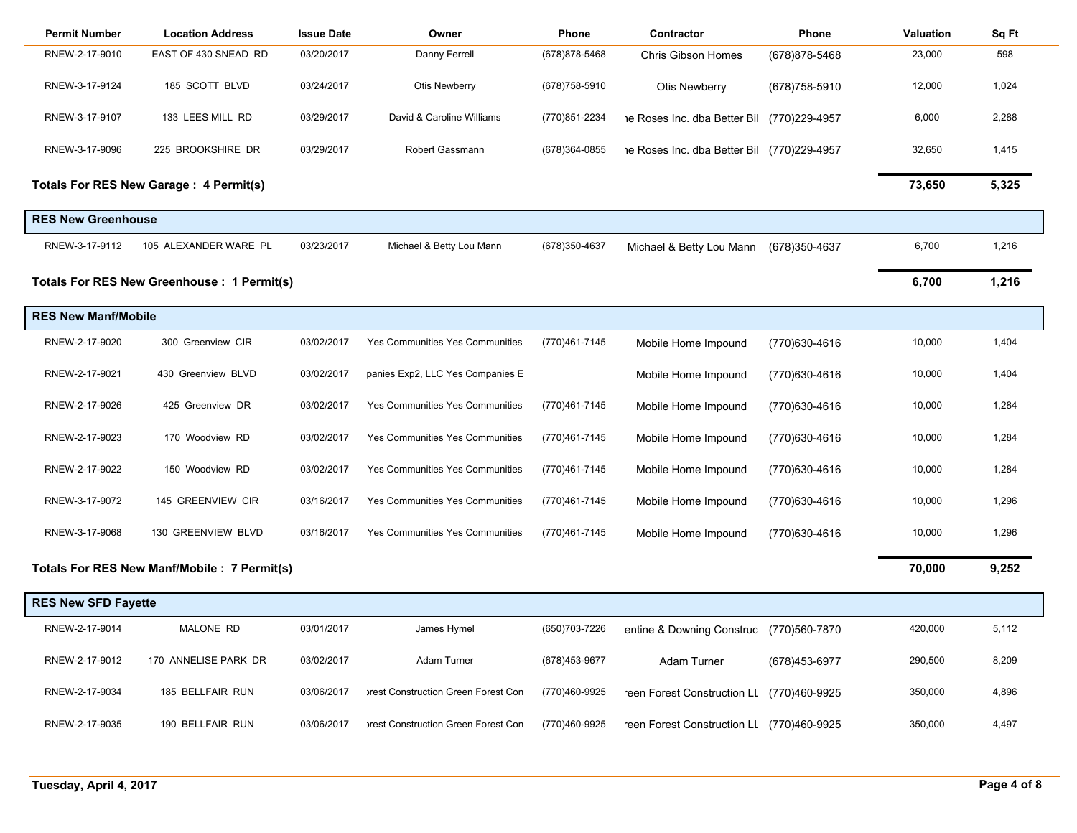| <b>Permit Number</b>       | <b>Location Address</b>                      | <b>Issue Date</b> | Owner                               | Phone          | Contractor                                | Phone          | Valuation | Sq Ft |
|----------------------------|----------------------------------------------|-------------------|-------------------------------------|----------------|-------------------------------------------|----------------|-----------|-------|
| RNEW-2-17-9010             | EAST OF 430 SNEAD RD                         | 03/20/2017        | Danny Ferrell                       | (678) 878-5468 | <b>Chris Gibson Homes</b>                 | (678) 878-5468 | 23,000    | 598   |
| RNEW-3-17-9124             | 185 SCOTT BLVD                               | 03/24/2017        | <b>Otis Newberry</b>                | (678) 758-5910 | Otis Newberry                             | (678) 758-5910 | 12,000    | 1,024 |
| RNEW-3-17-9107             | 133 LEES MILL RD                             | 03/29/2017        | David & Caroline Williams           | (770)851-2234  | e Roses Inc. dba Better Bil               | (770)229-4957  | 6,000     | 2,288 |
| RNEW-3-17-9096             | 225 BROOKSHIRE DR                            | 03/29/2017        | Robert Gassmann                     | (678)364-0855  | e Roses Inc. dba Better Bil (770)229-4957 |                | 32,650    | 1,415 |
|                            | Totals For RES New Garage: 4 Permit(s)       |                   |                                     |                |                                           |                | 73,650    | 5,325 |
| <b>RES New Greenhouse</b>  |                                              |                   |                                     |                |                                           |                |           |       |
| RNEW-3-17-9112             | 105 ALEXANDER WARE PL                        | 03/23/2017        | Michael & Betty Lou Mann            | (678) 350-4637 | Michael & Betty Lou Mann                  | (678) 350-4637 | 6,700     | 1,216 |
|                            | Totals For RES New Greenhouse : 1 Permit(s)  |                   |                                     |                |                                           |                | 6,700     | 1,216 |
| <b>RES New Manf/Mobile</b> |                                              |                   |                                     |                |                                           |                |           |       |
| RNEW-2-17-9020             | 300 Greenview CIR                            | 03/02/2017        | Yes Communities Yes Communities     | (770)461-7145  | Mobile Home Impound                       | (770)630-4616  | 10,000    | 1,404 |
| RNEW-2-17-9021             | 430 Greenview BLVD                           | 03/02/2017        | panies Exp2, LLC Yes Companies E    |                | Mobile Home Impound                       | (770)630-4616  | 10,000    | 1,404 |
| RNEW-2-17-9026             | 425 Greenview DR                             | 03/02/2017        | Yes Communities Yes Communities     | (770)461-7145  | Mobile Home Impound                       | (770)630-4616  | 10,000    | 1,284 |
| RNEW-2-17-9023             | 170 Woodview RD                              | 03/02/2017        | Yes Communities Yes Communities     | (770)461-7145  | Mobile Home Impound                       | (770)630-4616  | 10,000    | 1,284 |
| RNEW-2-17-9022             | 150 Woodview RD                              | 03/02/2017        | Yes Communities Yes Communities     | (770)461-7145  | Mobile Home Impound                       | (770)630-4616  | 10,000    | 1,284 |
| RNEW-3-17-9072             | 145 GREENVIEW CIR                            | 03/16/2017        | Yes Communities Yes Communities     | (770)461-7145  | Mobile Home Impound                       | (770)630-4616  | 10,000    | 1,296 |
| RNEW-3-17-9068             | 130 GREENVIEW BLVD                           | 03/16/2017        | Yes Communities Yes Communities     | (770)461-7145  | Mobile Home Impound                       | (770)630-4616  | 10,000    | 1,296 |
|                            | Totals For RES New Manf/Mobile : 7 Permit(s) |                   |                                     |                |                                           |                | 70,000    | 9,252 |
| <b>RES New SFD Fayette</b> |                                              |                   |                                     |                |                                           |                |           |       |
| RNEW-2-17-9014             | MALONE RD                                    | 03/01/2017        | James Hymel                         | (650) 703-7226 | entine & Downing Construc (770)560-7870   |                | 420,000   | 5,112 |
| RNEW-2-17-9012             | 170 ANNELISE PARK DR                         | 03/02/2017        | Adam Turner                         | (678)453-9677  | <b>Adam Turner</b>                        | (678)453-6977  | 290,500   | 8,209 |
| RNEW-2-17-9034             | 185 BELLFAIR RUN                             | 03/06/2017        | prest Construction Green Forest Con | (770)460-9925  | reen Forest Construction LL (770)460-9925 |                | 350,000   | 4,896 |
| RNEW-2-17-9035             | 190 BELLFAIR RUN                             | 03/06/2017        | prest Construction Green Forest Con | (770)460-9925  | reen Forest Construction LL (770)460-9925 |                | 350,000   | 4,497 |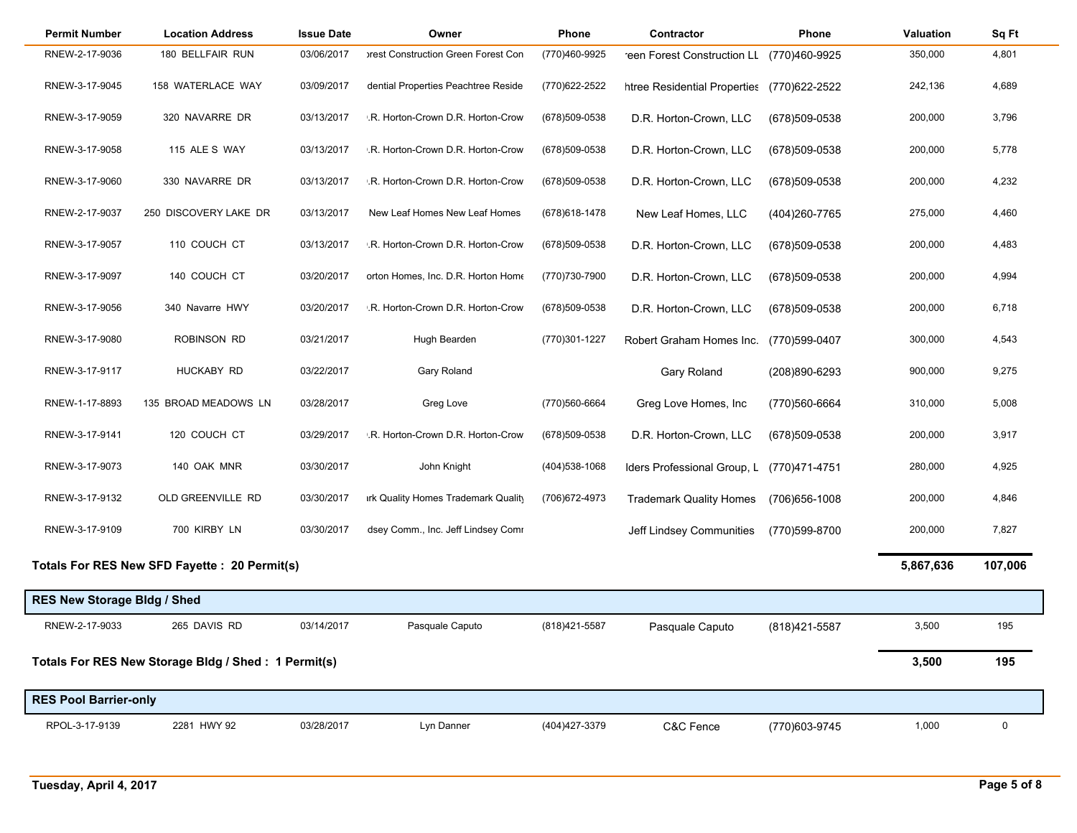| <b>Permit Number</b>               | <b>Location Address</b>                             | <b>Issue Date</b> | Owner                               | Phone          | Contractor                                 | Phone          | Valuation | Sq Ft       |
|------------------------------------|-----------------------------------------------------|-------------------|-------------------------------------|----------------|--------------------------------------------|----------------|-----------|-------------|
| RNEW-2-17-9036                     | 180 BELLFAIR RUN                                    | 03/06/2017        | prest Construction Green Forest Con | (770)460-9925  | reen Forest Construction LL                | (770)460-9925  | 350,000   | 4,801       |
| RNEW-3-17-9045                     | 158 WATERLACE WAY                                   | 03/09/2017        | dential Properties Peachtree Reside | (770)622-2522  | htree Residential Properties (770)622-2522 |                | 242,136   | 4,689       |
| RNEW-3-17-9059                     | 320 NAVARRE DR                                      | 03/13/2017        | .R. Horton-Crown D.R. Horton-Crow   | (678) 509-0538 | D.R. Horton-Crown, LLC                     | (678)509-0538  | 200,000   | 3,796       |
| RNEW-3-17-9058                     | 115 ALE S WAY                                       | 03/13/2017        | .R. Horton-Crown D.R. Horton-Crow   | (678)509-0538  | D.R. Horton-Crown, LLC                     | (678)509-0538  | 200,000   | 5,778       |
| RNEW-3-17-9060                     | 330 NAVARRE DR                                      | 03/13/2017        | .R. Horton-Crown D.R. Horton-Crow   | (678) 509-0538 | D.R. Horton-Crown, LLC                     | (678)509-0538  | 200,000   | 4,232       |
| RNEW-2-17-9037                     | 250 DISCOVERY LAKE DR                               | 03/13/2017        | New Leaf Homes New Leaf Homes       | (678) 618-1478 | New Leaf Homes, LLC                        | (404) 260-7765 | 275,000   | 4,460       |
| RNEW-3-17-9057                     | 110 COUCH CT                                        | 03/13/2017        | .R. Horton-Crown D.R. Horton-Crow   | (678) 509-0538 | D.R. Horton-Crown, LLC                     | (678)509-0538  | 200,000   | 4,483       |
| RNEW-3-17-9097                     | 140 COUCH CT                                        | 03/20/2017        | orton Homes, Inc. D.R. Horton Home  | (770)730-7900  | D.R. Horton-Crown, LLC                     | (678)509-0538  | 200,000   | 4,994       |
| RNEW-3-17-9056                     | 340 Navarre HWY                                     | 03/20/2017        | .R. Horton-Crown D.R. Horton-Crow   | (678)509-0538  | D.R. Horton-Crown, LLC                     | (678)509-0538  | 200,000   | 6,718       |
| RNEW-3-17-9080                     | ROBINSON RD                                         | 03/21/2017        | Hugh Bearden                        | (770)301-1227  | Robert Graham Homes Inc.                   | (770)599-0407  | 300,000   | 4,543       |
| RNEW-3-17-9117                     | HUCKABY RD                                          | 03/22/2017        | Gary Roland                         |                | Gary Roland                                | (208)890-6293  | 900,000   | 9,275       |
| RNEW-1-17-8893                     | 135 BROAD MEADOWS LN                                | 03/28/2017        | Greg Love                           | (770)560-6664  | Greg Love Homes, Inc                       | (770)560-6664  | 310,000   | 5,008       |
| RNEW-3-17-9141                     | 120 COUCH CT                                        | 03/29/2017        | .R. Horton-Crown D.R. Horton-Crow   | (678) 509-0538 | D.R. Horton-Crown, LLC                     | (678)509-0538  | 200,000   | 3,917       |
| RNEW-3-17-9073                     | 140 OAK MNR                                         | 03/30/2017        | John Knight                         | (404) 538-1068 | Iders Professional Group, L                | (770)471-4751  | 280,000   | 4,925       |
| RNEW-3-17-9132                     | OLD GREENVILLE RD                                   | 03/30/2017        | irk Quality Homes Trademark Quality | (706) 672-4973 | <b>Trademark Quality Homes</b>             | (706) 656-1008 | 200,000   | 4,846       |
| RNEW-3-17-9109                     | 700 KIRBY LN                                        | 03/30/2017        | dsey Comm., Inc. Jeff Lindsey Comr  |                | Jeff Lindsey Communities                   | (770)599-8700  | 200,000   | 7,827       |
|                                    | Totals For RES New SFD Fayette : 20 Permit(s)       |                   |                                     |                |                                            |                | 5,867,636 | 107,006     |
| <b>RES New Storage Bldg / Shed</b> |                                                     |                   |                                     |                |                                            |                |           |             |
| RNEW-2-17-9033                     | 265 DAVIS RD                                        | 03/14/2017        | Pasquale Caputo                     | (818) 421-5587 | Pasquale Caputo                            | (818) 421-5587 | 3,500     | 195         |
|                                    | Totals For RES New Storage Bldg / Shed: 1 Permit(s) |                   |                                     |                |                                            |                | 3,500     | 195         |
| <b>RES Pool Barrier-only</b>       |                                                     |                   |                                     |                |                                            |                |           |             |
| RPOL-3-17-9139                     | 2281 HWY 92                                         | 03/28/2017        | Lyn Danner                          | (404) 427-3379 | C&C Fence                                  | (770)603-9745  | 1,000     | $\mathbf 0$ |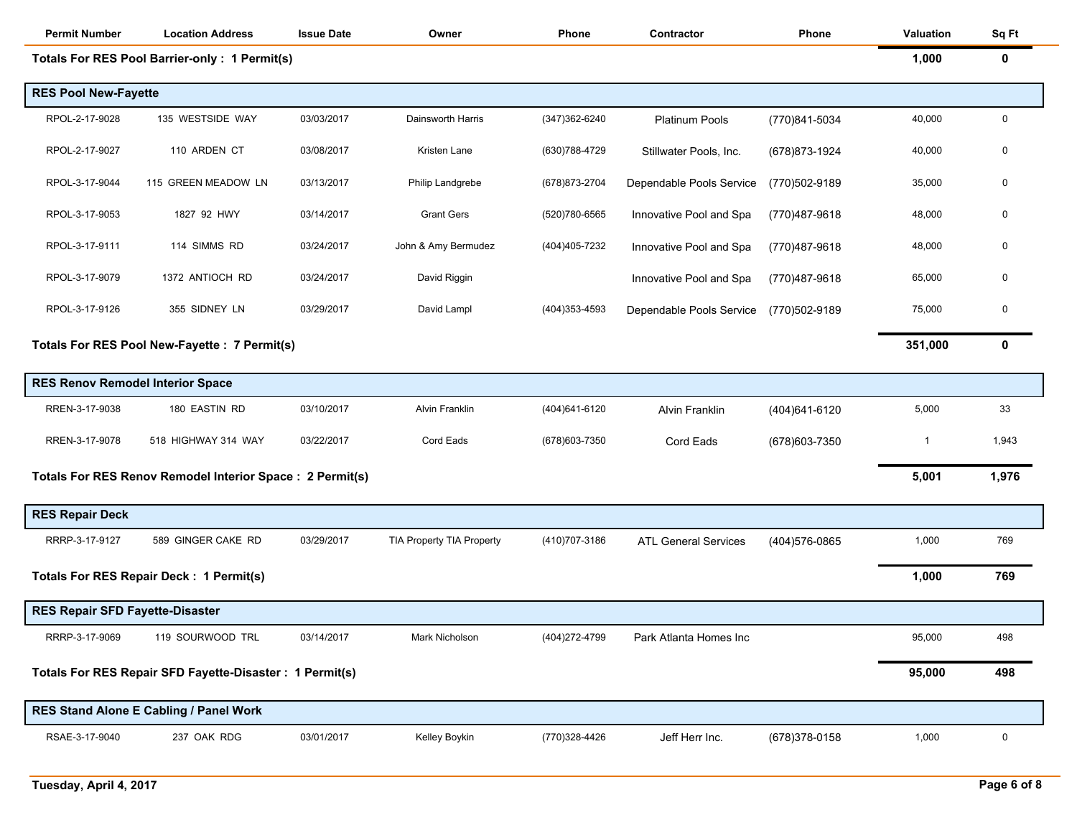| <b>Permit Number</b>                    | <b>Location Address</b>                                   | <b>Issue Date</b> | Owner                     | Phone          | Contractor                  | Phone          | Valuation | Sq Ft       |
|-----------------------------------------|-----------------------------------------------------------|-------------------|---------------------------|----------------|-----------------------------|----------------|-----------|-------------|
|                                         | <b>Totals For RES Pool Barrier-only: 1 Permit(s)</b>      |                   |                           |                |                             |                | 1,000     | 0           |
| <b>RES Pool New-Fayette</b>             |                                                           |                   |                           |                |                             |                |           |             |
| RPOL-2-17-9028                          | 135 WESTSIDE WAY                                          | 03/03/2017        | Dainsworth Harris         | (347) 362-6240 | <b>Platinum Pools</b>       | (770)841-5034  | 40,000    | 0           |
| RPOL-2-17-9027                          | 110 ARDEN CT                                              | 03/08/2017        | Kristen Lane              | (630) 788-4729 | Stillwater Pools, Inc.      | (678) 873-1924 | 40,000    | 0           |
| RPOL-3-17-9044                          | 115 GREEN MEADOW LN                                       | 03/13/2017        | Philip Landgrebe          | (678) 873-2704 | Dependable Pools Service    | (770)502-9189  | 35,000    | 0           |
| RPOL-3-17-9053                          | 1827 92 HWY                                               | 03/14/2017        | <b>Grant Gers</b>         | (520)780-6565  | Innovative Pool and Spa     | (770)487-9618  | 48,000    | 0           |
| RPOL-3-17-9111                          | 114 SIMMS RD                                              | 03/24/2017        | John & Amy Bermudez       | (404)405-7232  | Innovative Pool and Spa     | (770)487-9618  | 48,000    | 0           |
| RPOL-3-17-9079                          | 1372 ANTIOCH RD                                           | 03/24/2017        | David Riggin              |                | Innovative Pool and Spa     | (770)487-9618  | 65,000    | 0           |
| RPOL-3-17-9126                          | 355 SIDNEY LN                                             | 03/29/2017        | David Lampl               | (404) 353-4593 | Dependable Pools Service    | (770)502-9189  | 75,000    | 0           |
|                                         | Totals For RES Pool New-Fayette : 7 Permit(s)             |                   |                           |                |                             |                | 351,000   | 0           |
| <b>RES Renov Remodel Interior Space</b> |                                                           |                   |                           |                |                             |                |           |             |
| RREN-3-17-9038                          | 180 EASTIN RD                                             | 03/10/2017        | <b>Alvin Franklin</b>     | (404)641-6120  | <b>Alvin Franklin</b>       | (404) 641-6120 | 5,000     | 33          |
| RREN-3-17-9078                          | 518 HIGHWAY 314 WAY                                       | 03/22/2017        | Cord Eads                 | (678) 603-7350 | Cord Eads                   | (678) 603-7350 | -1        | 1,943       |
|                                         | Totals For RES Renov Remodel Interior Space : 2 Permit(s) |                   |                           |                |                             |                | 5,001     | 1,976       |
| <b>RES Repair Deck</b>                  |                                                           |                   |                           |                |                             |                |           |             |
| RRRP-3-17-9127                          | 589 GINGER CAKE RD                                        | 03/29/2017        | TIA Property TIA Property | (410) 707-3186 | <b>ATL General Services</b> | (404) 576-0865 | 1,000     | 769         |
|                                         | Totals For RES Repair Deck : 1 Permit(s)                  |                   |                           |                |                             |                | 1,000     | 769         |
| <b>RES Repair SFD Fayette-Disaster</b>  |                                                           |                   |                           |                |                             |                |           |             |
| RRRP-3-17-9069                          | 119 SOURWOOD TRL                                          | 03/14/2017        | Mark Nicholson            | (404) 272-4799 | Park Atlanta Homes Inc      |                | 95,000    | 498         |
|                                         | Totals For RES Repair SFD Fayette-Disaster : 1 Permit(s)  |                   |                           |                |                             |                | 95,000    | 498         |
|                                         | <b>RES Stand Alone E Cabling / Panel Work</b>             |                   |                           |                |                             |                |           |             |
| RSAE-3-17-9040                          | 237 OAK RDG                                               | 03/01/2017        | Kelley Boykin             | (770)328-4426  | Jeff Herr Inc.              | (678) 378-0158 | 1,000     | $\mathbf 0$ |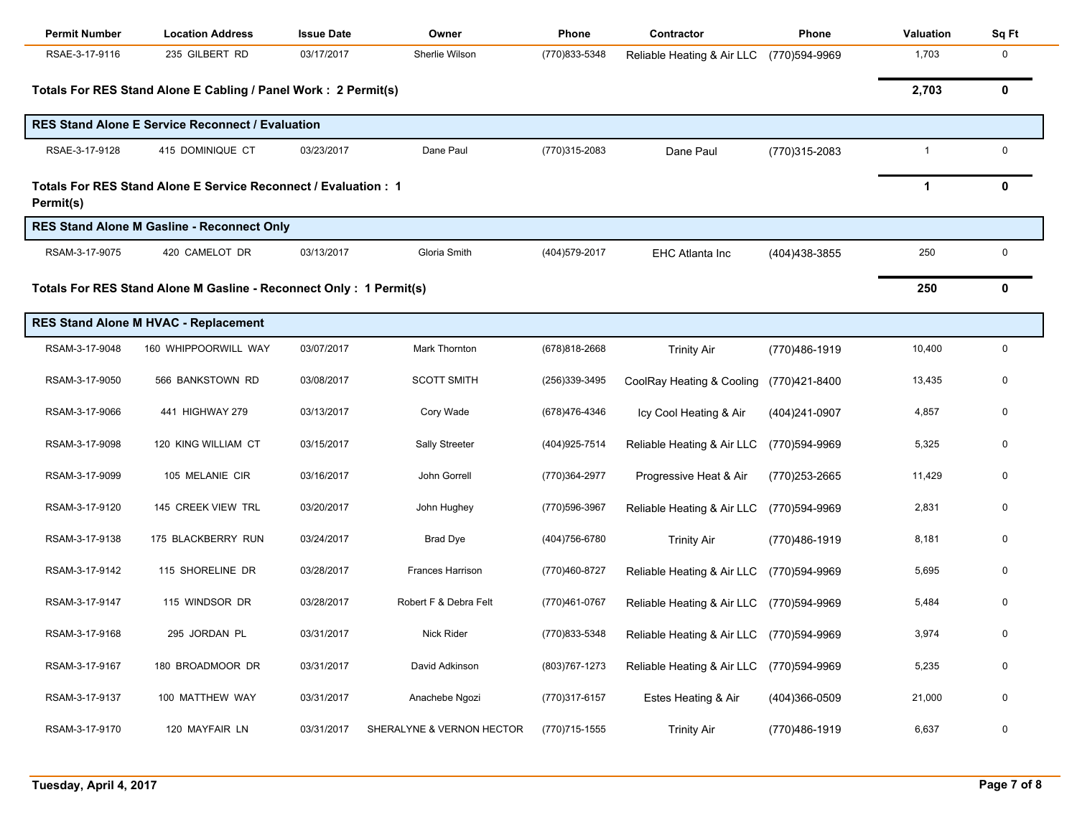| <b>Permit Number</b> | <b>Location Address</b>                                             | <b>Issue Date</b> | Owner                     | Phone          | Contractor                               | Phone          | <b>Valuation</b> | Sq Ft       |
|----------------------|---------------------------------------------------------------------|-------------------|---------------------------|----------------|------------------------------------------|----------------|------------------|-------------|
| RSAE-3-17-9116       | 235 GILBERT RD                                                      | 03/17/2017        | Sherlie Wilson            | (770)833-5348  | Reliable Heating & Air LLC               | (770)594-9969  | 1,703            | 0           |
|                      | Totals For RES Stand Alone E Cabling / Panel Work: 2 Permit(s)      |                   |                           |                |                                          |                | 2,703            | 0           |
|                      | <b>RES Stand Alone E Service Reconnect / Evaluation</b>             |                   |                           |                |                                          |                |                  |             |
| RSAE-3-17-9128       | 415 DOMINIQUE CT                                                    | 03/23/2017        | Dane Paul                 | (770)315-2083  | Dane Paul                                | (770)315-2083  | $\mathbf{1}$     | $\mathbf 0$ |
| Permit(s)            | Totals For RES Stand Alone E Service Reconnect / Evaluation: 1      |                   |                           |                |                                          |                | $\mathbf 1$      | 0           |
|                      | <b>RES Stand Alone M Gasline - Reconnect Only</b>                   |                   |                           |                |                                          |                |                  |             |
| RSAM-3-17-9075       | 420 CAMELOT DR                                                      | 03/13/2017        | Gloria Smith              | (404) 579-2017 | <b>EHC Atlanta Inc</b>                   | (404) 438-3855 | 250              | 0           |
|                      | Totals For RES Stand Alone M Gasline - Reconnect Only : 1 Permit(s) |                   |                           |                |                                          |                | 250              | 0           |
|                      | RES Stand Alone M HVAC - Replacement                                |                   |                           |                |                                          |                |                  |             |
| RSAM-3-17-9048       | 160 WHIPPOORWILL WAY                                                | 03/07/2017        | Mark Thornton             | (678)818-2668  | <b>Trinity Air</b>                       | (770)486-1919  | 10,400           | $\pmb{0}$   |
| RSAM-3-17-9050       | 566 BANKSTOWN RD                                                    | 03/08/2017        | <b>SCOTT SMITH</b>        | (256)339-3495  | CoolRay Heating & Cooling                | (770)421-8400  | 13,435           | 0           |
| RSAM-3-17-9066       | 441 HIGHWAY 279                                                     | 03/13/2017        | Cory Wade                 | (678)476-4346  | Icy Cool Heating & Air                   | (404)241-0907  | 4,857            | 0           |
| RSAM-3-17-9098       | 120 KING WILLIAM CT                                                 | 03/15/2017        | Sally Streeter            | (404) 925-7514 | Reliable Heating & Air LLC               | (770)594-9969  | 5,325            | 0           |
| RSAM-3-17-9099       | 105 MELANIE CIR                                                     | 03/16/2017        | John Gorrell              | (770)364-2977  | Progressive Heat & Air                   | (770)253-2665  | 11,429           | 0           |
| RSAM-3-17-9120       | 145 CREEK VIEW TRL                                                  | 03/20/2017        | John Hughey               | (770) 596-3967 | Reliable Heating & Air LLC               | (770)594-9969  | 2,831            | 0           |
| RSAM-3-17-9138       | 175 BLACKBERRY RUN                                                  | 03/24/2017        | <b>Brad Dye</b>           | (404) 756-6780 | <b>Trinity Air</b>                       | (770)486-1919  | 8,181            | 0           |
| RSAM-3-17-9142       | 115 SHORELINE DR                                                    | 03/28/2017        | Frances Harrison          | (770)460-8727  | Reliable Heating & Air LLC               | (770)594-9969  | 5,695            | 0           |
| RSAM-3-17-9147       | 115 WINDSOR DR                                                      | 03/28/2017        | Robert F & Debra Felt     | (770)461-0767  | Reliable Heating & Air LLC               | (770)594-9969  | 5,484            | 0           |
| RSAM-3-17-9168       | 295 JORDAN PL                                                       | 03/31/2017        | Nick Rider                | (770)833-5348  | Reliable Heating & Air LLC (770)594-9969 |                | 3,974            |             |
| RSAM-3-17-9167       | 180 BROADMOOR DR                                                    | 03/31/2017        | David Adkinson            | (803) 767-1273 | Reliable Heating & Air LLC               | (770)594-9969  | 5,235            | 0           |
| RSAM-3-17-9137       | 100 MATTHEW WAY                                                     | 03/31/2017        | Anachebe Ngozi            | (770)317-6157  | Estes Heating & Air                      | (404)366-0509  | 21,000           | 0           |
| RSAM-3-17-9170       | 120 MAYFAIR LN                                                      | 03/31/2017        | SHERALYNE & VERNON HECTOR | (770)715-1555  | <b>Trinity Air</b>                       | (770) 486-1919 | 6,637            | 0           |